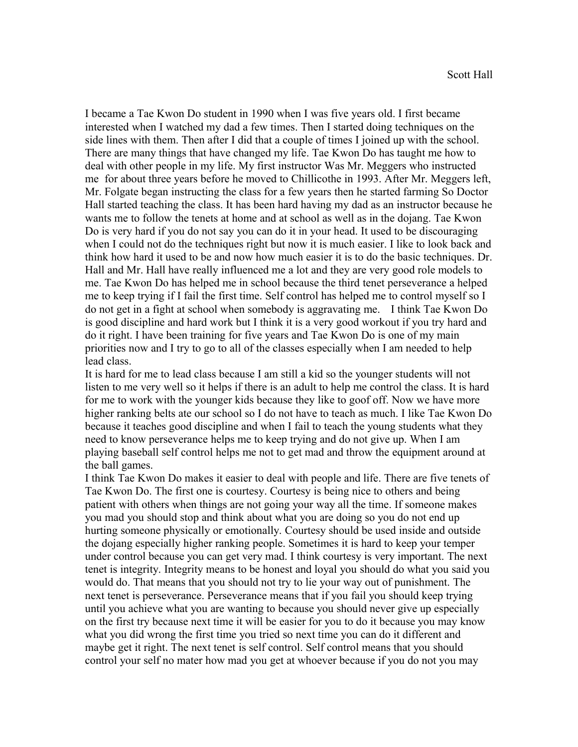I became a Tae Kwon Do student in 1990 when I was five years old. I first became interested when I watched my dad a few times. Then I started doing techniques on the side lines with them. Then after I did that a couple of times I joined up with the school. There are many things that have changed my life. Tae Kwon Do has taught me how to deal with other people in my life. My first instructor Was Mr. Meggers who instructed me for about three years before he moved to Chillicothe in 1993. After Mr. Meggers left, Mr. Folgate began instructing the class for a few years then he started farming So Doctor Hall started teaching the class. It has been hard having my dad as an instructor because he wants me to follow the tenets at home and at school as well as in the dojang. Tae Kwon Do is very hard if you do not say you can do it in your head. It used to be discouraging when I could not do the techniques right but now it is much easier. I like to look back and think how hard it used to be and now how much easier it is to do the basic techniques. Dr. Hall and Mr. Hall have really influenced me a lot and they are very good role models to me. Tae Kwon Do has helped me in school because the third tenet perseverance a helped me to keep trying if I fail the first time. Self control has helped me to control myself so I do not get in a fight at school when somebody is aggravating me. I think Tae Kwon Do is good discipline and hard work but I think it is a very good workout if you try hard and do it right. I have been training for five years and Tae Kwon Do is one of my main priorities now and I try to go to all of the classes especially when I am needed to help lead class.

It is hard for me to lead class because I am still a kid so the younger students will not listen to me very well so it helps if there is an adult to help me control the class. It is hard for me to work with the younger kids because they like to goof off. Now we have more higher ranking belts ate our school so I do not have to teach as much. I like Tae Kwon Do because it teaches good discipline and when I fail to teach the young students what they need to know perseverance helps me to keep trying and do not give up. When I am playing baseball self control helps me not to get mad and throw the equipment around at the ball games.

I think Tae Kwon Do makes it easier to deal with people and life. There are five tenets of Tae Kwon Do. The first one is courtesy. Courtesy is being nice to others and being patient with others when things are not going your way all the time. If someone makes you mad you should stop and think about what you are doing so you do not end up hurting someone physically or emotionally. Courtesy should be used inside and outside the dojang especially higher ranking people. Sometimes it is hard to keep your temper under control because you can get very mad. I think courtesy is very important. The next tenet is integrity. Integrity means to be honest and loyal you should do what you said you would do. That means that you should not try to lie your way out of punishment. The next tenet is perseverance. Perseverance means that if you fail you should keep trying until you achieve what you are wanting to because you should never give up especially on the first try because next time it will be easier for you to do it because you may know what you did wrong the first time you tried so next time you can do it different and maybe get it right. The next tenet is self control. Self control means that you should control your self no mater how mad you get at whoever because if you do not you may